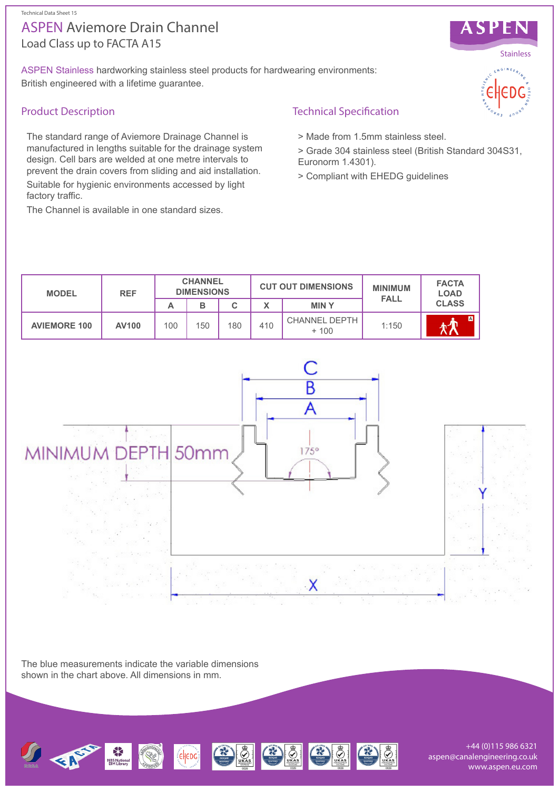#### Technical Data Sheet 15

# Load Class up to FACTA A15 ASPEN Aviemore Drain Channel

ASPEN Stainless hardworking stainless steel products for hardwearing environments: British engineered with a lifetime guarantee.

### Product Description

The standard range of Aviemore Drainage Channel is manufactured in lengths suitable for the drainage system design. Cell bars are welded at one metre intervals to prevent the drain covers from sliding and aid installation.

Suitable for hygienic environments accessed by light factory traffic.

The Channel is available in one standard sizes.

Technical Specification

- > Made from 1.5mm stainless steel.
- > Grade 304 stainless steel (British Standard 304S31, Euronorm 1.4301).
- > Compliant with EHEDG guidelines





The blue measurements indicate the variable dimensions shown in the chart above. All dimensions in mm.



+44 (0)115 986 6321 aspen@canalengineering.co.uk www.aspen.eu.com



ASPEN